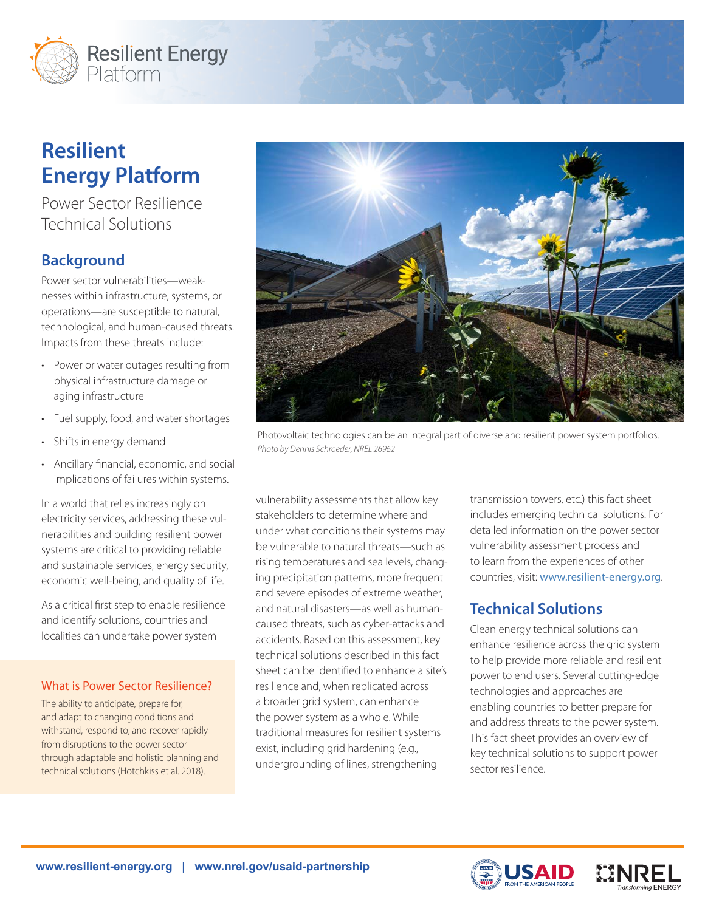

# **Resilient Energy Platform**

Power Sector Resilience Technical Solutions

# **Background**

Power sector vulnerabilities—weaknesses within infrastructure, systems, or operations—are susceptible to natural, technological, and human-caused threats. Impacts from these threats include:

- Power or water outages resulting from physical infrastructure damage or aging infrastructure
- Fuel supply, food, and water shortages
- Shifts in energy demand
- Ancillary financial, economic, and social implications of failures within systems.

In a world that relies increasingly on electricity services, addressing these vulnerabilities and building resilient power systems are critical to providing reliable and sustainable services, energy security, economic well‐being, and quality of life.

As a critical first step to enable resilience and identify solutions, countries and localities can undertake power system

#### What is Power Sector Resilience?

The ability to anticipate, prepare for, and adapt to changing conditions and withstand, respond to, and recover rapidly from disruptions to the power sector through adaptable and holistic planning and technical solutions (Hotchkiss et al. 2018).



Photovoltaic technologies can be an integral part of diverse and resilient power system portfolios. *Photo by Dennis Schroeder, NREL 26962*

vulnerability assessments that allow key stakeholders to determine where and under what conditions their systems may be vulnerable to natural threats—such as rising temperatures and sea levels, changing precipitation patterns, more frequent and severe episodes of extreme weather, and natural disasters—as well as humancaused threats, such as cyber-attacks and accidents. Based on this assessment, key technical solutions described in this fact sheet can be identified to enhance a site's resilience and, when replicated across a broader grid system, can enhance the power system as a whole. While traditional measures for resilient systems exist, including grid hardening (e.g., undergrounding of lines, strengthening

transmission towers, etc.) this fact sheet includes emerging technical solutions. For detailed information on the power sector vulnerability assessment process and to learn from the experiences of other countries, visit: [www.resilient-energy.org](http://www.resilient-energy.org).

# **Technical Solutions**

Clean energy technical solutions can enhance resilience across the grid system to help provide more reliable and resilient power to end users. Several cutting-edge technologies and approaches are enabling countries to better prepare for and address threats to the power system. This fact sheet provides an overview of key technical solutions to support power sector resilience.



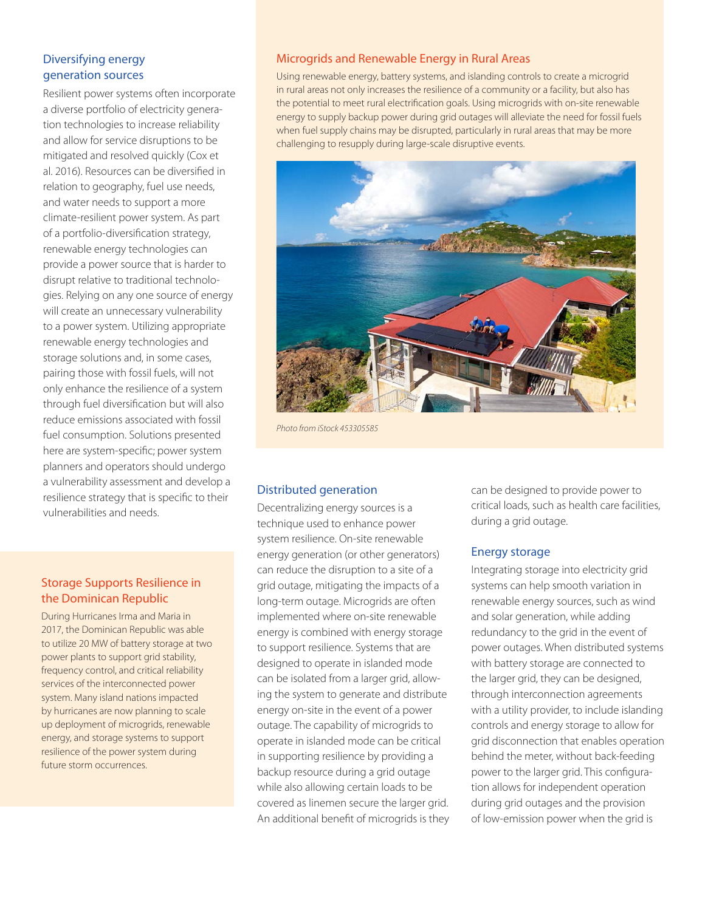## Diversifying energy generation sources

Resilient power systems often incorporate a diverse portfolio of electricity generation technologies to increase reliability and allow for service disruptions to be mitigated and resolved quickly (Cox et al. 2016). Resources can be diversified in relation to geography, fuel use needs, and water needs to support a more climate-resilient power system. As part of a portfolio-diversification strategy, renewable energy technologies can provide a power source that is harder to disrupt relative to traditional technologies. Relying on any one source of energy will create an unnecessary vulnerability to a power system. Utilizing appropriate renewable energy technologies and storage solutions and, in some cases, pairing those with fossil fuels, will not only enhance the resilience of a system through fuel diversification but will also reduce emissions associated with fossil fuel consumption. Solutions presented here are system-specific; power system planners and operators should undergo a vulnerability assessment and develop a resilience strategy that is specific to their vulnerabilities and needs.

### Storage Supports Resilience in the Dominican Republic

During Hurricanes Irma and Maria in 2017, the Dominican Republic was able to utilize 20 MW of battery storage at two power plants to support grid stability, frequency control, and critical reliability services of the interconnected power system. Many island nations impacted by hurricanes are now planning to scale up deployment of microgrids, renewable energy, and storage systems to support resilience of the power system during future storm occurrences.

#### Microgrids and Renewable Energy in Rural Areas

Using renewable energy, battery systems, and islanding controls to create a microgrid in rural areas not only increases the resilience of a community or a facility, but also has the potential to meet rural electrification goals. Using microgrids with on-site renewable energy to supply backup power during grid outages will alleviate the need for fossil fuels when fuel supply chains may be disrupted, particularly in rural areas that may be more challenging to resupply during large-scale disruptive events.



*Photo from iStock 453305585*

#### Distributed generation

Decentralizing energy sources is a technique used to enhance power system resilience. On-site renewable energy generation (or other generators) can reduce the disruption to a site of a grid outage, mitigating the impacts of a long-term outage. Microgrids are often implemented where on-site renewable energy is combined with energy storage to support resilience. Systems that are designed to operate in islanded mode can be isolated from a larger grid, allowing the system to generate and distribute energy on-site in the event of a power outage. The capability of microgrids to operate in islanded mode can be critical in supporting resilience by providing a backup resource during a grid outage while also allowing certain loads to be covered as linemen secure the larger grid. An additional benefit of microgrids is they can be designed to provide power to critical loads, such as health care facilities, during a grid outage.

#### Energy storage

Integrating storage into electricity grid systems can help smooth variation in renewable energy sources, such as wind and solar generation, while adding redundancy to the grid in the event of power outages. When distributed systems with battery storage are connected to the larger grid, they can be designed, through interconnection agreements with a utility provider, to include islanding controls and energy storage to allow for grid disconnection that enables operation behind the meter, without back-feeding power to the larger grid. This configuration allows for independent operation during grid outages and the provision of low-emission power when the grid is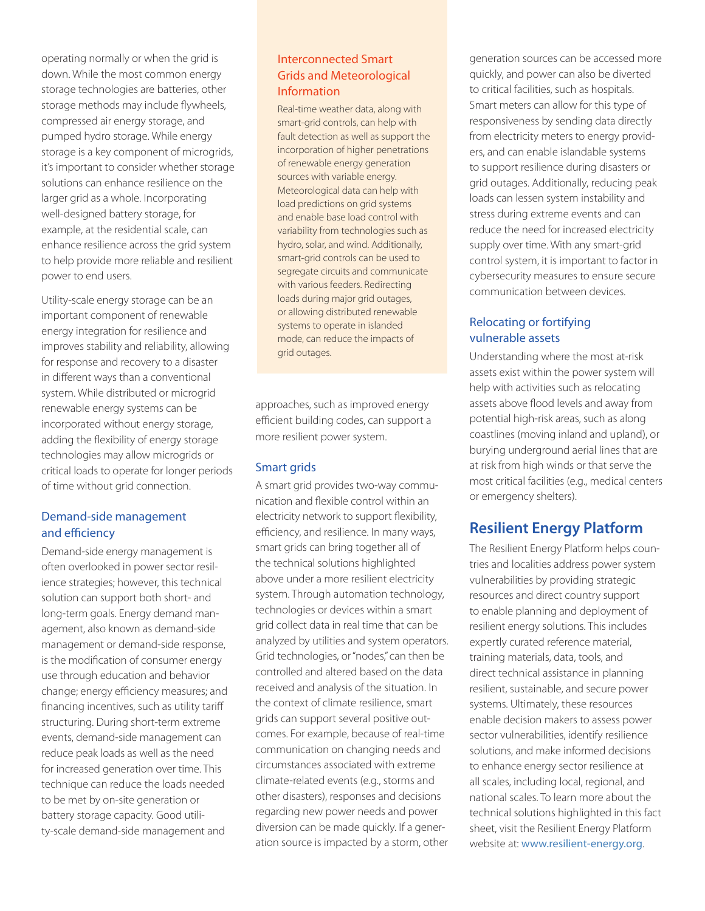operating normally or when the grid is down. While the most common energy storage technologies are batteries, other storage methods may include flywheels, compressed air energy storage, and pumped hydro storage. While energy storage is a key component of microgrids, it's important to consider whether storage solutions can enhance resilience on the larger grid as a whole. Incorporating well-designed battery storage, for example, at the residential scale, can enhance resilience across the grid system to help provide more reliable and resilient power to end users.

Utility-scale energy storage can be an important component of renewable energy integration for resilience and improves stability and reliability, allowing for response and recovery to a disaster in different ways than a conventional system. While distributed or microgrid renewable energy systems can be incorporated without energy storage, adding the flexibility of energy storage technologies may allow microgrids or critical loads to operate for longer periods of time without grid connection.

#### Demand-side management and efficiency

Demand-side energy management is often overlooked in power sector resilience strategies; however, this technical solution can support both short- and long-term goals. Energy demand management, also known as demand-side management or demand-side response, is the modification of consumer energy use through education and behavior change; energy efficiency measures; and financing incentives, such as utility tariff structuring. During short-term extreme events, demand-side management can reduce peak loads as well as the need for increased generation over time. This technique can reduce the loads needed to be met by on-site generation or battery storage capacity. Good utility-scale demand-side management and

### Interconnected Smart Grids and Meteorological Information

Real-time weather data, along with smart-grid controls, can help with fault detection as well as support the incorporation of higher penetrations of renewable energy generation sources with variable energy. Meteorological data can help with load predictions on grid systems and enable base load control with variability from technologies such as hydro, solar, and wind. Additionally, smart-grid controls can be used to segregate circuits and communicate with various feeders. Redirecting loads during major grid outages, or allowing distributed renewable systems to operate in islanded mode, can reduce the impacts of grid outages.

approaches, such as improved energy efficient building codes, can support a more resilient power system.

#### Smart grids

A smart grid provides two-way communication and flexible control within an electricity network to support flexibility, efficiency, and resilience. In many ways, smart grids can bring together all of the technical solutions highlighted above under a more resilient electricity system. Through automation technology, technologies or devices within a smart grid collect data in real time that can be analyzed by utilities and system operators. Grid technologies, or "nodes," can then be controlled and altered based on the data received and analysis of the situation. In the context of climate resilience, smart grids can support several positive outcomes. For example, because of real-time communication on changing needs and circumstances associated with extreme climate-related events (e.g., storms and other disasters), responses and decisions regarding new power needs and power diversion can be made quickly. If a generation source is impacted by a storm, other

generation sources can be accessed more quickly, and power can also be diverted to critical facilities, such as hospitals. Smart meters can allow for this type of responsiveness by sending data directly from electricity meters to energy providers, and can enable islandable systems to support resilience during disasters or grid outages. Additionally, reducing peak loads can lessen system instability and stress during extreme events and can reduce the need for increased electricity supply over time. With any smart-grid control system, it is important to factor in cybersecurity measures to ensure secure communication between devices.

## Relocating or fortifying vulnerable assets

Understanding where the most at-risk assets exist within the power system will help with activities such as relocating assets above flood levels and away from potential high-risk areas, such as along coastlines (moving inland and upland), or burying underground aerial lines that are at risk from high winds or that serve the most critical facilities (e.g., medical centers or emergency shelters).

## **Resilient Energy Platform**

The Resilient Energy Platform helps countries and localities address power system vulnerabilities by providing strategic resources and direct country support to enable planning and deployment of resilient energy solutions. This includes expertly curated reference material, training materials, data, tools, and direct technical assistance in planning resilient, sustainable, and secure power systems. Ultimately, these resources enable decision makers to assess power sector vulnerabilities, identify resilience solutions, and make informed decisions to enhance energy sector resilience at all scales, including local, regional, and national scales. To learn more about the technical solutions highlighted in this fact sheet, visit the Resilient Energy Platform website at: [www.resilient-energy.org](http://www.resilient-energy.org).